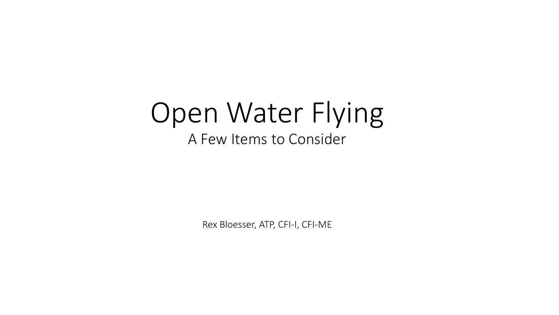#### Open Water Flying A Few Items to Consider

Rex Bloesser, ATP, CFI-I, CFI-ME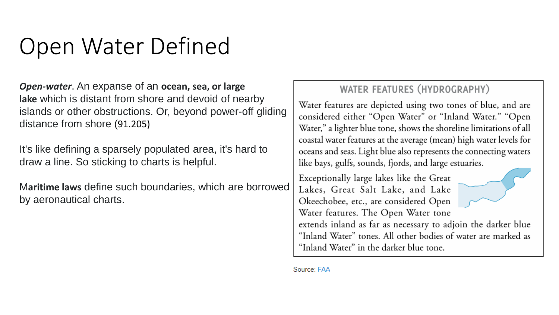# Open Water Defined

*Open-water*. An expanse of an **ocean, sea, or large lake** which is distant from shore and devoid of nearby islands or other obstructions. Or, beyond power-off gliding distance from shore (91.205)

It's like defining a sparsely populated area, it's hard to draw a line. So sticking to charts is helpful.

M**aritime laws** define such boundaries, which are borrowed by aeronautical charts.

#### WATER FEATURES (HYDROGRAPHY)

Water features are depicted using two tones of blue, and are considered either "Open Water" or "Inland Water." "Open Water," a lighter blue tone, shows the shoreline limitations of all coastal water features at the average (mean) high water levels for oceans and seas. Light blue also represents the connecting waters like bays, gulfs, sounds, fjords, and large estuaries.

Exceptionally large lakes like the Great Lakes, Great Salt Lake, and Lake Okeechobee, etc., are considered Open Water features. The Open Water tone extends inland as far as necessary to adjoin the darker blue "Inland Water" tones. All other bodies of water are marked as "Inland Water" in the darker blue tone.

Source: FAA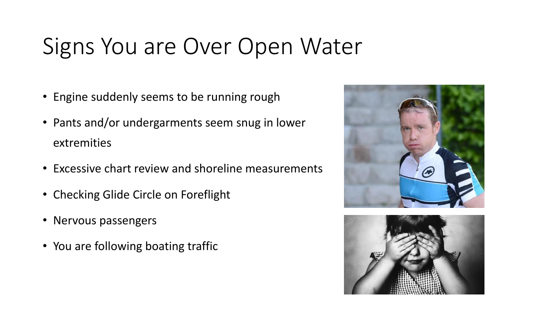# Signs You are Over Open Water

- Engine suddenly seems to be running rough
- Pants and/or undergarments seem snug in lower extremities
- Excessive chart review and shoreline measurements
- Checking Glide Circle on Foreflight
- Nervous passengers
- You are following boating traffic



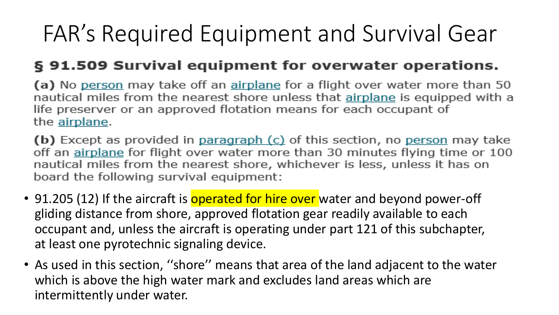# FAR's Required Equipment and Survival Gear

#### § 91.509 Survival equipment for overwater operations.

(a) No person may take off an airplane for a flight over water more than 50 nautical miles from the nearest shore unless that airplane is equipped with a life preserver or an approved flotation means for each occupant of the airplane.

(b) Except as provided in paragraph (c) of this section, no person may take off an airplane for flight over water more than 30 minutes flying time or 100 nautical miles from the nearest shore, whichever is less, unless it has on board the following survival equipment:

- 91.205 (12) If the aircraft is **operated for hire over** water and beyond power-off gliding distance from shore, approved flotation gear readily available to each occupant and, unless the aircraft is operating under part 121 of this subchapter, at least one pyrotechnic signaling device.
- As used in this section, ''shore'' means that area of the land adjacent to the water which is above the high water mark and excludes land areas which are intermittently under water.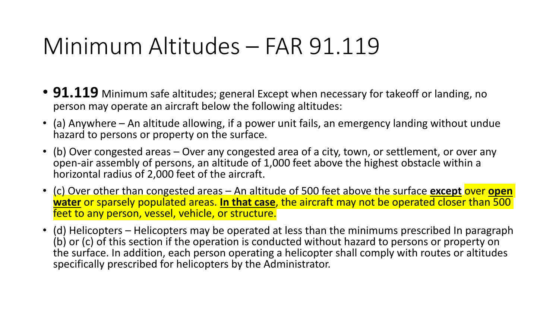## Minimum Altitudes – FAR 91.119

- **91.119** Minimum safe altitudes; general Except when necessary for takeoff or landing, no person may operate an aircraft below the following altitudes:
- (a) Anywhere An altitude allowing, if a power unit fails, an emergency landing without undue hazard to persons or property on the surface.
- (b) Over congested areas Over any congested area of a city, town, or settlement, or over any open-air assembly of persons, an altitude of 1,000 feet above the highest obstacle within a horizontal radius of 2,000 feet of the aircraft.
- (c) Over other than congested areas An altitude of 500 feet above the surface **except** over **open water** or sparsely populated areas. **In that case**, the aircraft may not be operated closer than 500 feet to any person, vessel, vehicle, or structure.
- (d) Helicopters Helicopters may be operated at less than the minimums prescribed In paragraph (b) or (c) of this section if the operation is conducted without hazard to persons or property on the surface. In addition, each person operating a helicopter shall comply with routes or altitudes specifically prescribed for helicopters by the Administrator.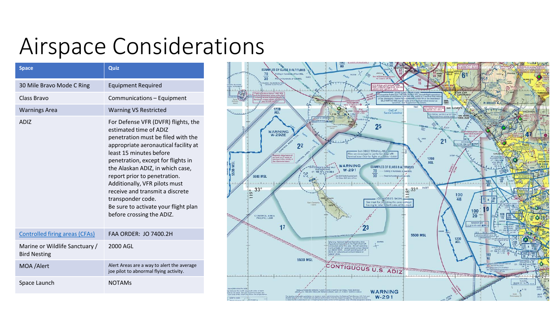### Airspace Considerations

| <b>Space</b>                                          | Quiz                                                                                                                                                                                                                                                                                                                                                                                                                                           |
|-------------------------------------------------------|------------------------------------------------------------------------------------------------------------------------------------------------------------------------------------------------------------------------------------------------------------------------------------------------------------------------------------------------------------------------------------------------------------------------------------------------|
| 30 Mile Bravo Mode C Ring                             | <b>Equipment Required</b>                                                                                                                                                                                                                                                                                                                                                                                                                      |
| <b>Class Bravo</b>                                    | Communications - Equipment                                                                                                                                                                                                                                                                                                                                                                                                                     |
| <b>Warnings Area</b>                                  | <b>Warning VS Restricted</b>                                                                                                                                                                                                                                                                                                                                                                                                                   |
| <b>ADIZ</b>                                           | For Defense VFR (DVFR) flights, the<br>estimated time of ADIZ<br>penetration must be filed with the<br>appropriate aeronautical facility at<br>least 15 minutes before<br>penetration, except for flights in<br>the Alaskan ADIZ, in which case,<br>report prior to penetration.<br>Additionally, VFR pilots must<br>receive and transmit a discrete<br>transponder code.<br>Be sure to activate your flight plan<br>before crossing the ADIZ. |
| <b>Controlled firing areas (CFAs)</b>                 | <b>FAA ORDER: JO 7400.2H</b>                                                                                                                                                                                                                                                                                                                                                                                                                   |
| Marine or Wildlife Sanctuary /<br><b>Bird Nesting</b> | 2000 AGL                                                                                                                                                                                                                                                                                                                                                                                                                                       |
| MOA / Alert                                           | Alert Areas are a way to alert the average<br>joe pilot to abnormal flying activity.                                                                                                                                                                                                                                                                                                                                                           |
| Space Launch                                          | <b>NOTAMs</b>                                                                                                                                                                                                                                                                                                                                                                                                                                  |

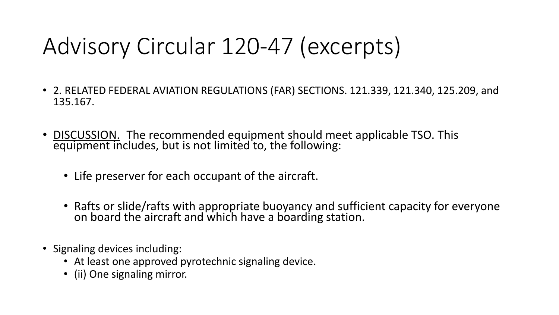# Advisory Circular 120-47 (excerpts)

- 2. RELATED FEDERAL AVIATION REGULATIONS (FAR) SECTIONS. 121.339, 121.340, 125.209, and 135.167.
- DISCUSSION. The recommended equipment should meet applicable TSO. This equipment includes, but is not limited to, the following:
	- Life preserver for each occupant of the aircraft.
	- Rafts or slide/rafts with appropriate buoyancy and sufficient capacity for everyone on board the aircraft and which have a boarding station.
- Signaling devices including:
	- At least one approved pyrotechnic signaling device.
	- (ii) One signaling mirror.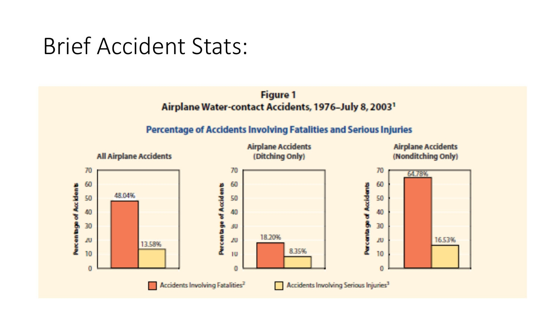### Brief Accident Stats:

#### **Figure 1** Airplane Water-contact Accidents, 1976-July 8, 2003<sup>1</sup>

#### Percentage of Accidents Involving Fatalities and Serious Injuries

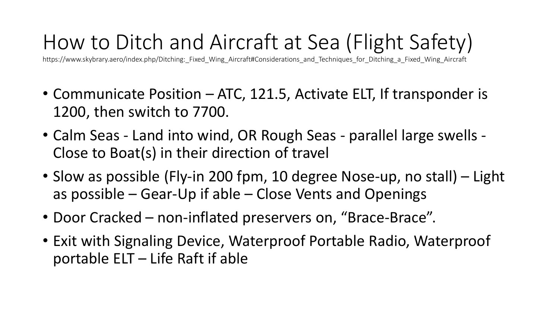### How to Ditch and Aircraft at Sea (Flight Safety)

https://www.skybrary.aero/index.php/Ditching:\_Fixed\_Wing\_Aircraft#Considerations\_and\_Techniques\_for\_Ditching\_a\_Fixed\_Wing\_Aircraft

- Communicate Position ATC, 121.5, Activate ELT, If transponder is 1200, then switch to 7700.
- Calm Seas Land into wind, OR Rough Seas parallel large swells Close to Boat(s) in their direction of travel
- Slow as possible (Fly-in 200 fpm, 10 degree Nose-up, no stall) Light as possible – Gear-Up if able – Close Vents and Openings
- Door Cracked non-inflated preservers on, "Brace-Brace".
- Exit with Signaling Device, Waterproof Portable Radio, Waterproof portable ELT – Life Raft if able